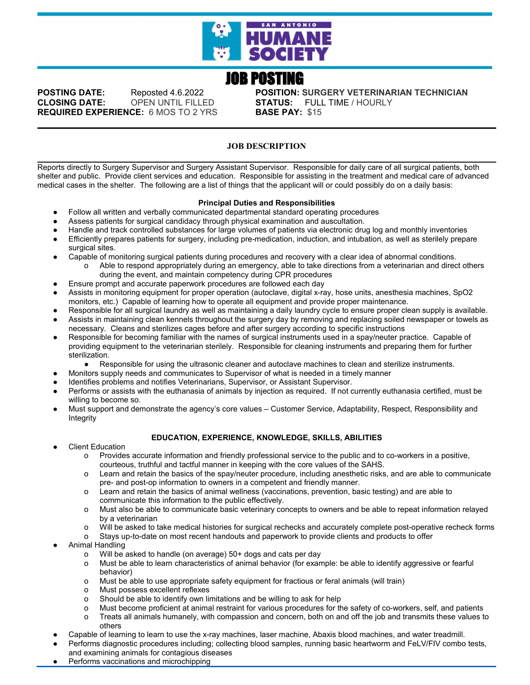

# JOB POSTING

**CLOSING DATE:** OPEN UNTIL FILLED **STATUS:** FULL TIME / HOURLY **REQUIRED EXPERIENCE:** 6 MOS TO 2 YRS **BASE PAY:** \$15

**POSTING DATE:** Reposted 4.6.2022 **POSITION: SURGERY VETERINARIAN TECHNICIAN**

# **JOB DESCRIPTION**

Reports directly to Surgery Supervisor and Surgery Assistant Supervisor. Responsible for daily care of all surgical patients, both shelter and public. Provide client services and education. Responsible for assisting in the treatment and medical care of advanced medical cases in the shelter. The following are a list of things that the applicant will or could possibly do on a daily basis:

## **Principal Duties and Responsibilities**

- Follow all written and verbally communicated departmental standard operating procedures
- Assess patients for surgical candidacy through physical examination and auscultation.
- Handle and track controlled substances for large volumes of patients via electronic drug log and monthly inventories
- Efficiently prepares patients for surgery, including pre-medication, induction, and intubation, as well as sterilely prepare surgical sites.
- Capable of monitoring surgical patients during procedures and recovery with a clear idea of abnormal conditions.<br>Able to respond appropriately during an emergency, able to take directions from a veterinarian and directi Able to respond appropriately during an emergency, able to take directions from a veterinarian and direct others during the event, and maintain competency during CPR procedures
- Ensure prompt and accurate paperwork procedures are followed each day
- Assists in monitoring equipment for proper operation (autoclave, digital x-ray, hose units, anesthesia machines, SpO2 monitors, etc.) Capable of learning how to operate all equipment and provide proper maintenance.
- Responsible for all surgical laundry as well as maintaining a daily laundry cycle to ensure proper clean supply is available. Assists in maintaining clean kennels throughout the surgery day by removing and replacing soiled newspaper or towels as
- necessary. Cleans and sterilizes cages before and after surgery according to specific instructions
- Responsible for becoming familiar with the names of surgical instruments used in a spay/neuter practice. Capable of providing equipment to the veterinarian sterilely. Responsible for cleaning instruments and preparing them for further sterilization.
	- Responsible for using the ultrasonic cleaner and autoclave machines to clean and sterilize instruments.
- Monitors supply needs and communicates to Supervisor of what is needed in a timely manner
- Identifies problems and notifies Veterinarians, Supervisor, or Assistant Supervisor.
- Performs or assists with the euthanasia of animals by injection as required. If not currently euthanasia certified, must be willing to become so.
- Must support and demonstrate the agency's core values Customer Service, Adaptability, Respect, Responsibility and Integrity

#### **EDUCATION, EXPERIENCE, KNOWLEDGE, SKILLS, ABILITIES**

- **Client Education** 
	- o Provides accurate information and friendly professional service to the public and to co-workers in a positive, courteous, truthful and tactful manner in keeping with the core values of the SAHS.
	- o Learn and retain the basics of the spay/neuter procedure, including anesthetic risks, and are able to communicate pre- and post-op information to owners in a competent and friendly manner.
	- o Learn and retain the basics of animal wellness (vaccinations, prevention, basic testing) and are able to communicate this information to the public effectively.
	- o Must also be able to communicate basic veterinary concepts to owners and be able to repeat information relayed by a veterinarian
	- o Will be asked to take medical histories for surgical rechecks and accurately complete post-operative recheck forms
	- o Stays up-to-date on most recent handouts and paperwork to provide clients and products to offer
- Animal Handling
	- o Will be asked to handle (on average) 50+ dogs and cats per day
	- o Must be able to learn characteristics of animal behavior (for example: be able to identify aggressive or fearful behavior)
	- o Must be able to use appropriate safety equipment for fractious or feral animals (will train)
	- o Must possess excellent reflexes
	- o Should be able to identify own limitations and be willing to ask for help
	- o Must become proficient at animal restraint for various procedures for the safety of co-workers, self, and patients
	- o Treats all animals humanely, with compassion and concern, both on and off the job and transmits these values to others
- Capable of learning to learn to use the x-ray machines, laser machine, Abaxis blood machines, and water treadmill.
- Performs diagnostic procedures including; collecting blood samples, running basic heartworm and FeLV/FIV combo tests, and examining animals for contagious diseases
- Performs vaccinations and microchipping